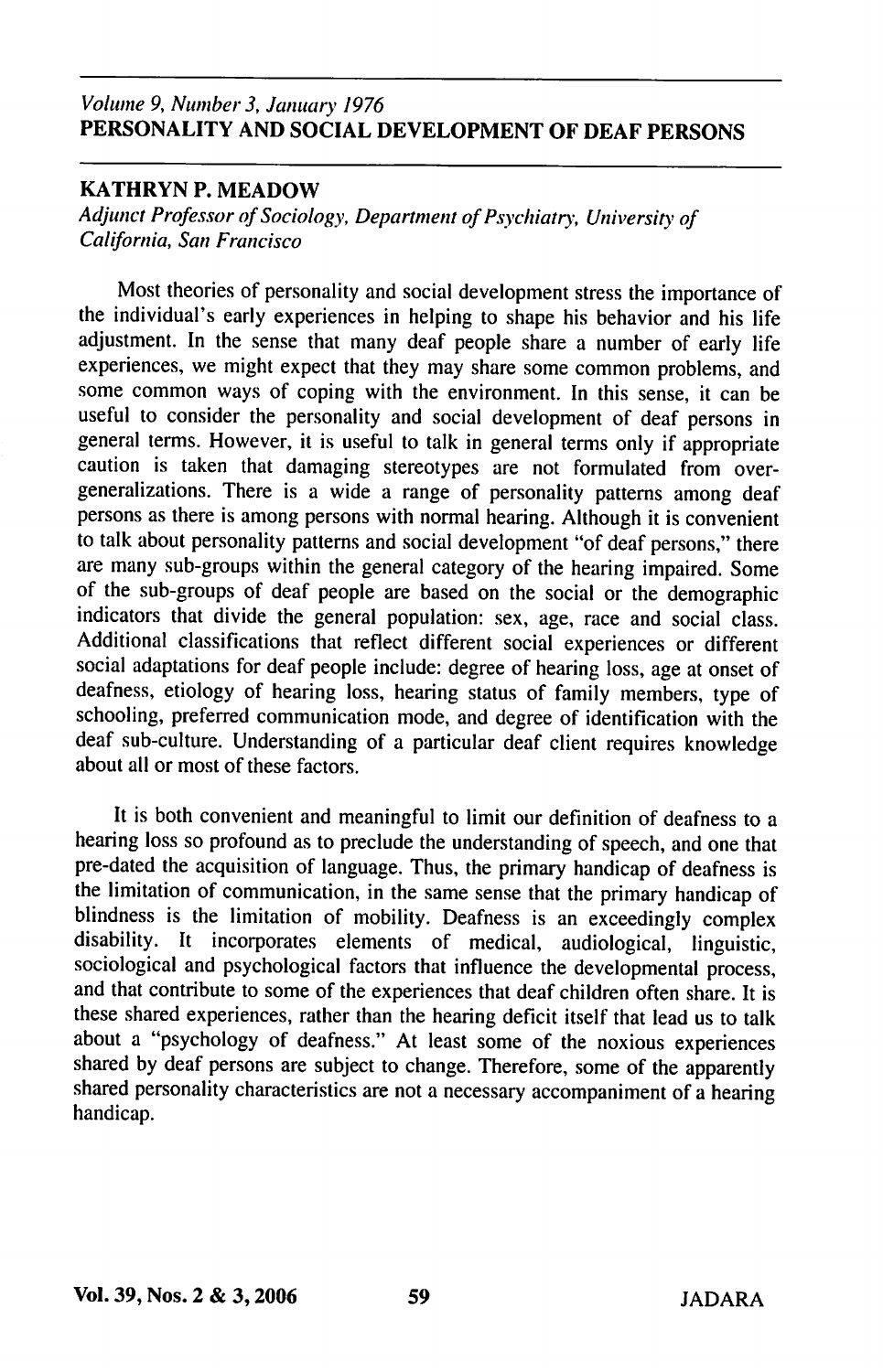# Volume 9, Number 3, January 1976 PERSONALITY AND SOCIAL DEVELOPMENT OF DEAF PERSONS

# KATHRYN P. MEADOW

Adjunct Professor of Sociology, Department of Psychiatry, University of California, San Francisco

Most theories of personality and social development stress the importance of the individual's early experiences in helping to shape his behavior and his life adjustment. In the sense that many deaf people share a number of early life experiences, we might expect that they may share some common problems, and some common ways of coping with the environment. In this sense, it can be useful to consider the personality and social development of deaf persons in general terms. However, it is useful to talk in general terms only if appropriate caution is taken that damaging stereotypes are not formulated from overgeneralizations. There is a wide a range of personality patterns among deaf persons as there is among persons with normal hearing. Although it is convenient to talk about personality patterns and social development "of deaf persons," there are many sub-groups within the general category of the hearing impaired. Some of the sub-groups of deaf people are based on the social or the demographic indicators that divide the general population: sex, age, race and social class. Additional classifications that reflect different social experiences or different social adaptations for deaf people include: degree of hearing loss, age at onset of deafness, etiology of hearing loss, hearing status of family members, type of schooling, preferred communication mode, and degree of identification with the deaf sub-culture. Understanding of a particular deaf client requires knowledge about all or most of these factors.

It is both convenient and meaningful to limit our definition of deafness to a hearing loss so profound as to preclude the understanding of speech, and one that pre-dated the acquisition of language. Thus, the primary handicap of deafness is the limitation of communication, in the same sense that the primary handicap of blindness is the limitation of mobility. Deafness is an exceedingly complex disability. It incorporates elements of medical, audiological, linguistic, sociological and psychological factors that influence the developmental process, and that contribute to some of the experiences that deaf children often share. It is these shared experiences, rather than the hearing deficit itself that lead us to talk about a "psychology of deafness." At least some of the noxious experiences shared by deaf persons are subject to change. Therefore, some of the apparently shared personality characteristics are not a necessary accompaniment of a hearing handicap.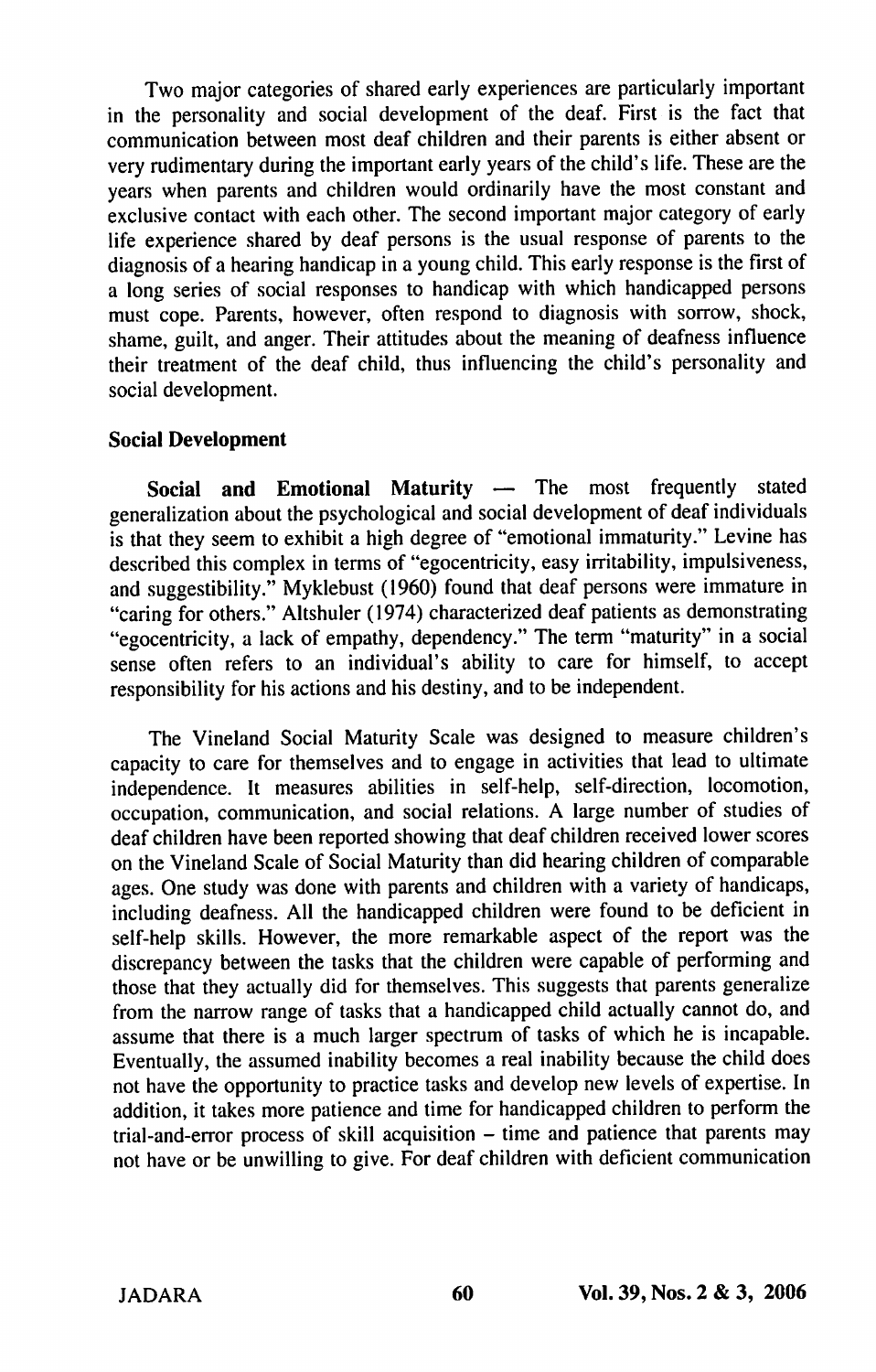Two major categories of shared early experiences are particularly important in the personality and social development of the deaf. First is the fact that communication between most deaf children and their parents is either absent or very rudimentary during the important early years of the child's life. These are the years when parents and children would ordinarily have the most constant and exclusive contact with each other. The second important major category of early life experience shared by deaf persons is the usual response of parents to the diagnosis of a hearing handicap in a young child. This early response is the first of a long series of social responses to handicap with which handicapped persons must cope. Parents, however, often respond to diagnosis with sorrow, shock, shame, guilt, and anger. Their attitudes about the meaning of deafness influence their treatment of the deaf child, thus influencing the child's personality and social development.

## Social Development

Social and Emotional Maturity — The most frequently stated generalization about the psychological and social development of deaf individuals is that they seem to exhibit a high degree of "emotional immaturity." Levine has described this complex in terms of "egocentricity, easy irritability, impulsiveness, and suggestibility." Myklebust (1960) found that deaf persons were immature in "caring for others." Altshuler (1974) characterized deaf patients as demonstrating "egocentricity, a lack of empathy, dependency." The term "maturity" in a social sense often refers to an individual's ability to care for himself, to accept responsibility for his actions and his destiny, and to be independent.

The Vineland Social Maturity Scale was designed to measure children's capacity to care for themselves and to engage in activities that lead to ultimate independence. It measures abilities in self-help, self-direction, locomotion, occupation, communication, and social relations. A large number of studies of deaf children have been reported showing that deaf children received lower scores on the Vineland Scale of Social Maturity than did hearing children of comparable ages. One study was done with parents and children with a variety of handicaps, including deafness. All the handicapped children were found to be deficient in self-help skills. However, the more remarkable aspect of the report was the discrepancy between the tasks that the children were capable of performing and those that they actually did for themselves. This suggests that parents generalize from the narrow range of tasks that a handicapped child actually cannot do, and assume that there is a much larger spectrum of tasks of which he is incapable. Eventually, the assumed inability becomes a real inability because the child does not have the opportunity to practice tasks and develop new levels of expertise. In addition, it takes more patience and time for handicapped children to perform the trial-and-error process of skill acquisition - time and patience that parents may not have or be unwilling to give. For deaf children with deficient communication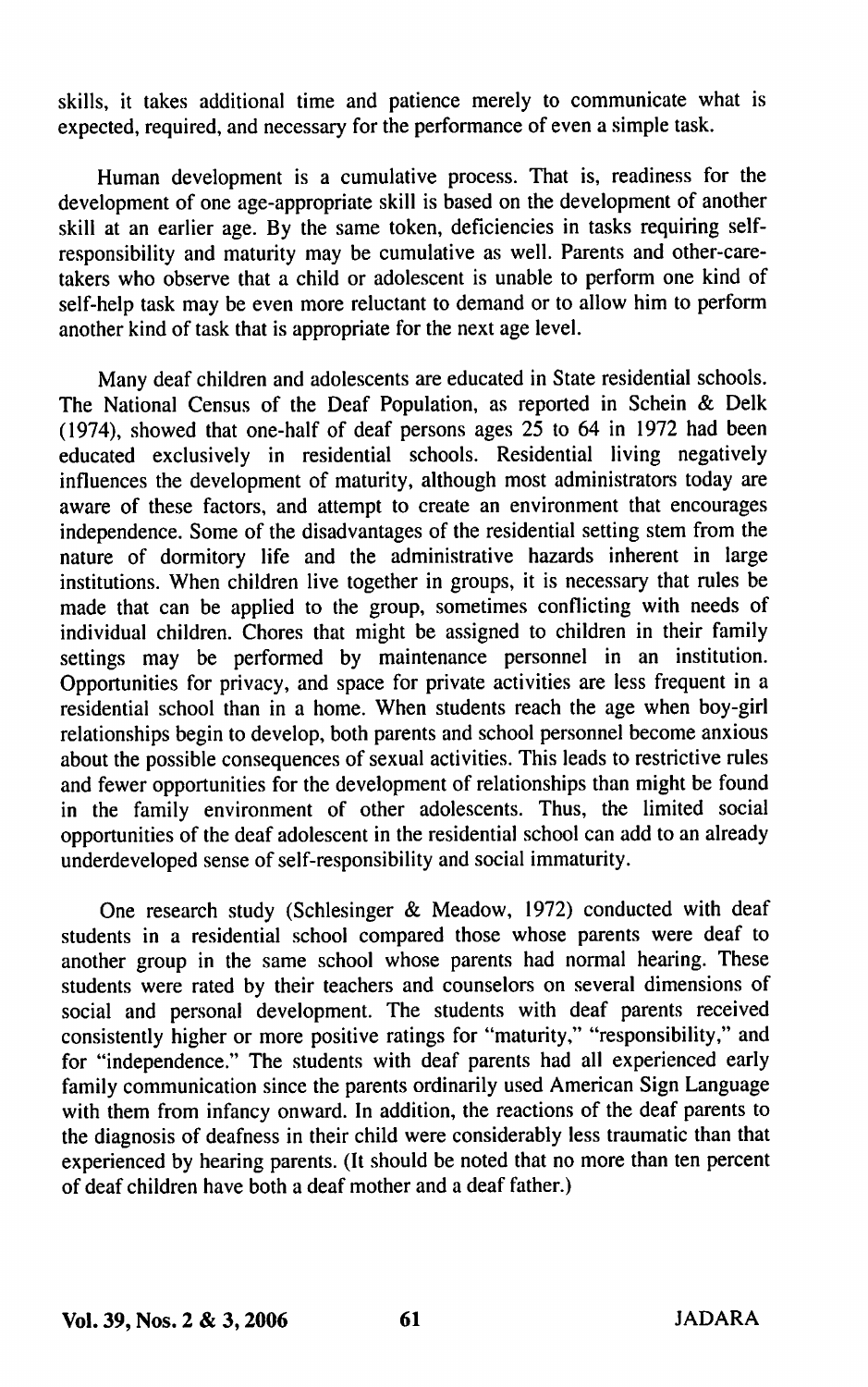skills, it takes additional time and patience merely to communicate what is expected, required, and necessary for the performance of even a simple task.

Human development is a cumulative process. That is, readiness for the development of one age-appropriate skill is based on the development of another skill at an earlier age. By the same token, deficiencies in tasks requiring selfresponsibility and maturity may be cumulative as well. Parents and other-caretakers who observe that a child or adolescent is unable to perform one kind of self-help task may be even more reluctant to demand or to allow him to perform another kind of task that is appropriate for the next age level.

Many deaf children and adolescents are educated in State residential schools. The National Census of the Deaf Population, as reported in Schein & Delk (1974), showed that one-half of deaf persons ages  $2\overline{5}$  to 64 in 1972 had been educated exclusively in residential schools. Residential living negatively influences the development of maturity, although most administrators today are aware of these factors, and attempt to create an environment that encourages independence. Some of the disadvantages of the residential setting stem from the nature of dormitory life and the administrative hazards inherent in large institutions. When children live together in groups, it is necessary that rules be made that can be applied to the group, sometimes conflicting with needs of individual children. Chores that might be assigned to children in their family settings may be performed by maintenance personnel in an institution. Opportunities for privacy, and space for private activities are less frequent in a residential school than in a home. When students reach the age when boy-girl relationships begin to develop, both parents and school personnel become anxious about the possible consequences of sexual activities. This leads to restrictive rules and fewer opportunities for the development of relationships than might be found in the family environment of other adolescents. Thus, the limited social opportunities of the deaf adolescent in the residential school can add to an already underdeveloped sense of self-responsibility and social immaturity.

One research study (Schlesinger & Meadow, 1972) conducted with deaf students in a residential school compared those whose parents were deaf to another group in the same school whose parents had normal hearing. These students were rated by their teachers and counselors on several dimensions of social and personal development. The students with deaf parents received consistently higher or more positive ratings for "maturity," "responsibility," and for "independence." The students with deaf parents had all experienced early family communication since the parents ordinarily used American Sign Language with them from infancy onward. In addition, the reactions of the deaf parents to the diagnosis of deafness in their child were considerably less traumatic than that experienced by hearing parents. (It should be noted that no more than ten percent of deaf children have both a deaf mother and a deaf father.)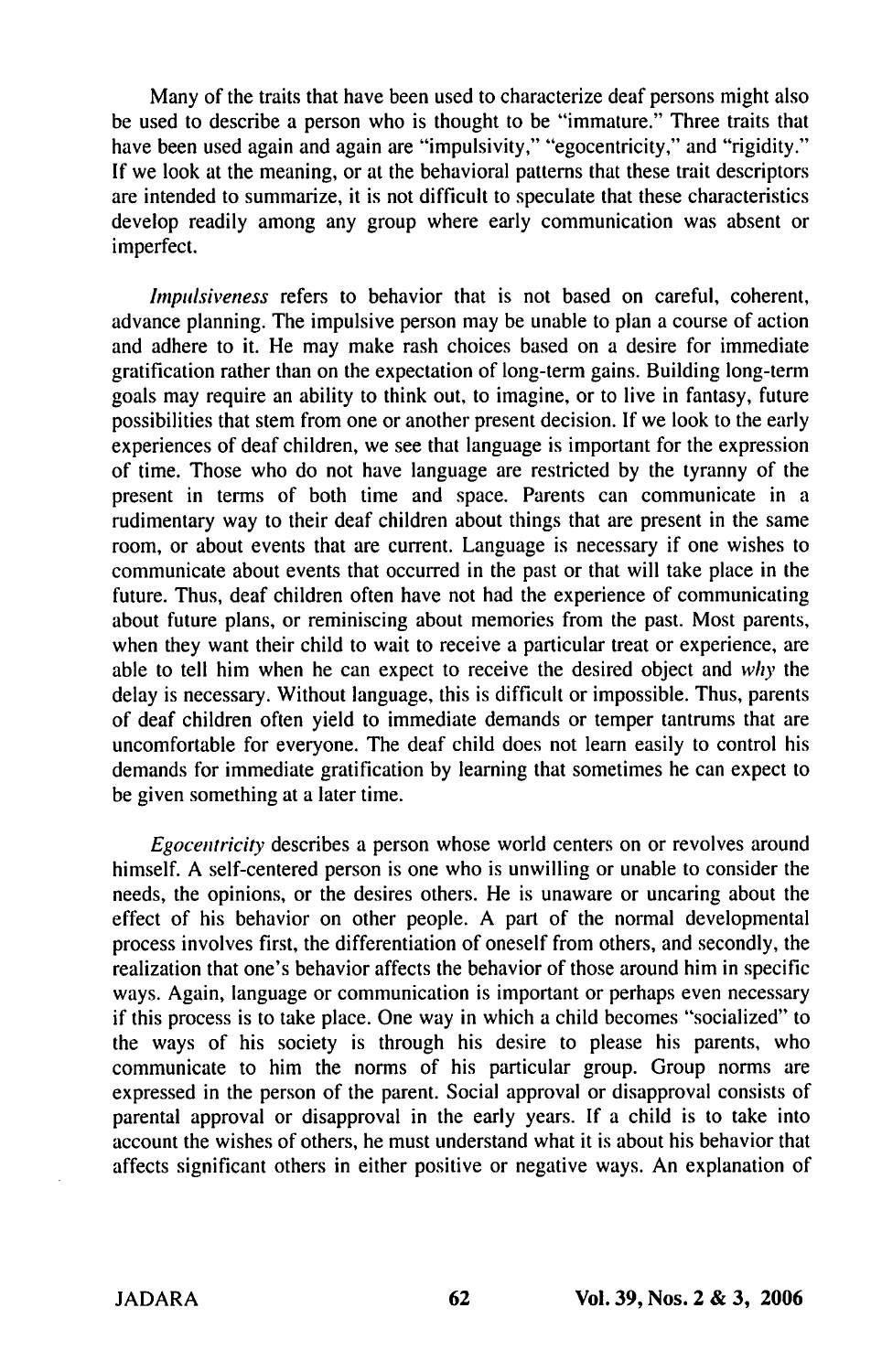Many of the traits that have been used to characterize deaf persons might also be used to describe a person who is thought to be "immature." Three traits that have been used again and again are "impulsivity," "egocentricity," and "rigidity." If we look at the meaning, or at the behavioral patterns that these trait descriptors are intended to summarize, it is not difficult to speculate that these characteristics develop readily among any group where early communication was absent or imperfect.

Impulsiveness refers to behavior that is not based on careful, coherent, advance planning. The impulsive person may be unable to plan a course of action and adhere to it. He may make rash choices based on a desire for immediate gratification rather than on the expectation of long-term gains. Building long-term goals may require an ability to think out, to imagine, or to live in fantasy, future possibilities that stem from one or another present decision. If we look to the early experiences of deaf children, we see that language is important for the expression of time. Those who do not have language are restricted by the tyranny of the present in terms of both time and space. Parents can communicate in a rudimentary way to their deaf children about things that are present in the same room, or about events that are current. Language is necessary if one wishes to communicate about events that occurred in the past or that will take place in the future. Thus, deaf children often have not had the experience of communicating about future plans, or reminiscing about memories from the past. Most parents, when they want their child to wait to receive a particular treat or experience, are able to tell him when he can expect to receive the desired object and why the delay is necessary. Without language, this is difficult or impossible. Thus, parents of deaf children often yield to immediate demands or temper tantrums that are uncomfortable for everyone. The deaf child does not learn easily to control his demands for immediate gratification by learning that sometimes he can expect to be given something at a later time.

Egocentricity describes a person whose world centers on or revolves around himself. A self-centered person is one who is unwilling or unable to consider the needs, the opinions, or the desires others. He is unaware or uncaring about the effect of his behavior on other people. A part of the normal developmental process involves first, the differentiation of oneself from others, and secondly, the realization that one's behavior affects the behavior of those around him in specific ways. Again, language or communication is important or perhaps even necessary if this process is to take place. One way in which a child becomes "socialized" to the ways of his society is through his desire to please his parents, who communicate to him the norms of his particular group. Group norms are expressed in the person of the parent. Social approval or disapproval consists of parental approval or disapproval in the early years. If a child is to take into account the wishes of others, he must understand what it is about his behavior that affects significant others in either positive or negative ways. An explanation of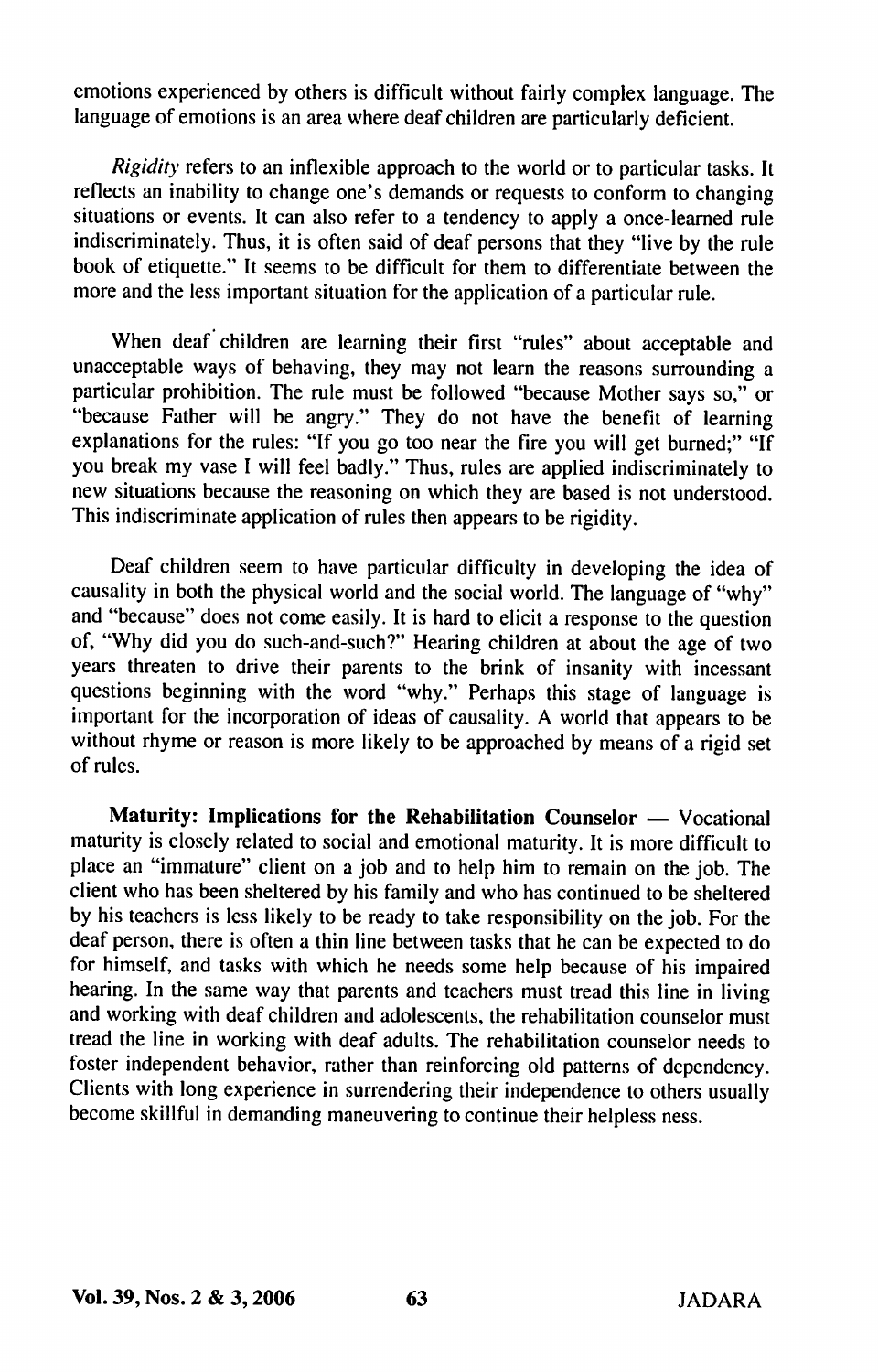emotions experienced by others is difficult without fairly complex language. The language of emotions is an area where deaf children are particularly deficient.

Rigidity refers to an inflexible approach to the world or to particular tasks. It reflects an inability to change one's demands or requests to conform to changing situations or events. It can also refer to a tendency to apply a once-learned rule indiscriminately. Thus, it is often said of deaf persons that they "live by the rule book of etiquette." It seems to be difficult for them to differentiate between the more and the less important situation for the application of a particular rule.

When deaf children are learning their first "rules" about acceptable and unacceptable ways of behaving, they may not leam the reasons surrounding a particular prohibition. The rule must be followed "because Mother says so," or "because Father will be angry." They do not have the benefit of learning explanations for the rules; "If you go too near the fire you will get burned;" "If you break my vase I will feel badly." Thus, rules are applied indiscriminately to new situations because the reasoning on which they are based is not understood. This indiscriminate application of rules then appears to be rigidity.

Deaf children seem to have particular difficulty in developing the idea of causality in both the physical world and the social world. The language of "why" and "because" does not come easily. It is hard to elicit a response to the question of, "Why did you do such-and-such?" Hearing children at about the age of two years threaten to drive their parents to the brink of insanity with incessant questions beginning with the word "why." Perhaps this stage of language is important for the incorporation of ideas of causality. A world that appears to be without rhyme or reason is more likely to be approached by means of a rigid set of rules.

Maturity: Implications for the Rehabilitation Counselor — Vocational maturity is closely related to social and emotional maturity. It is more difficult to place an "immature" client on a job and to help him to remain on the job. The client who has been sheltered by his family and who has continued to be sheltered by his teachers is less likely to be ready to take responsibility on the job. For the deaf person, there is often a thin line between tasks that he can be expected to do for himself, and tasks with which he needs some help because of his impaired hearing. In the same way that parents and teachers must tread this line in living and working with deaf children and adolescents, the rehabilitation counselor must tread the line in working with deaf adults. The rehabilitation counselor needs to foster independent behavior, rather than reinforcing old patterns of dependency. Clients with long experience in surrendering their independence to others usually become skillful in demanding maneuvering to continue their helpless ness.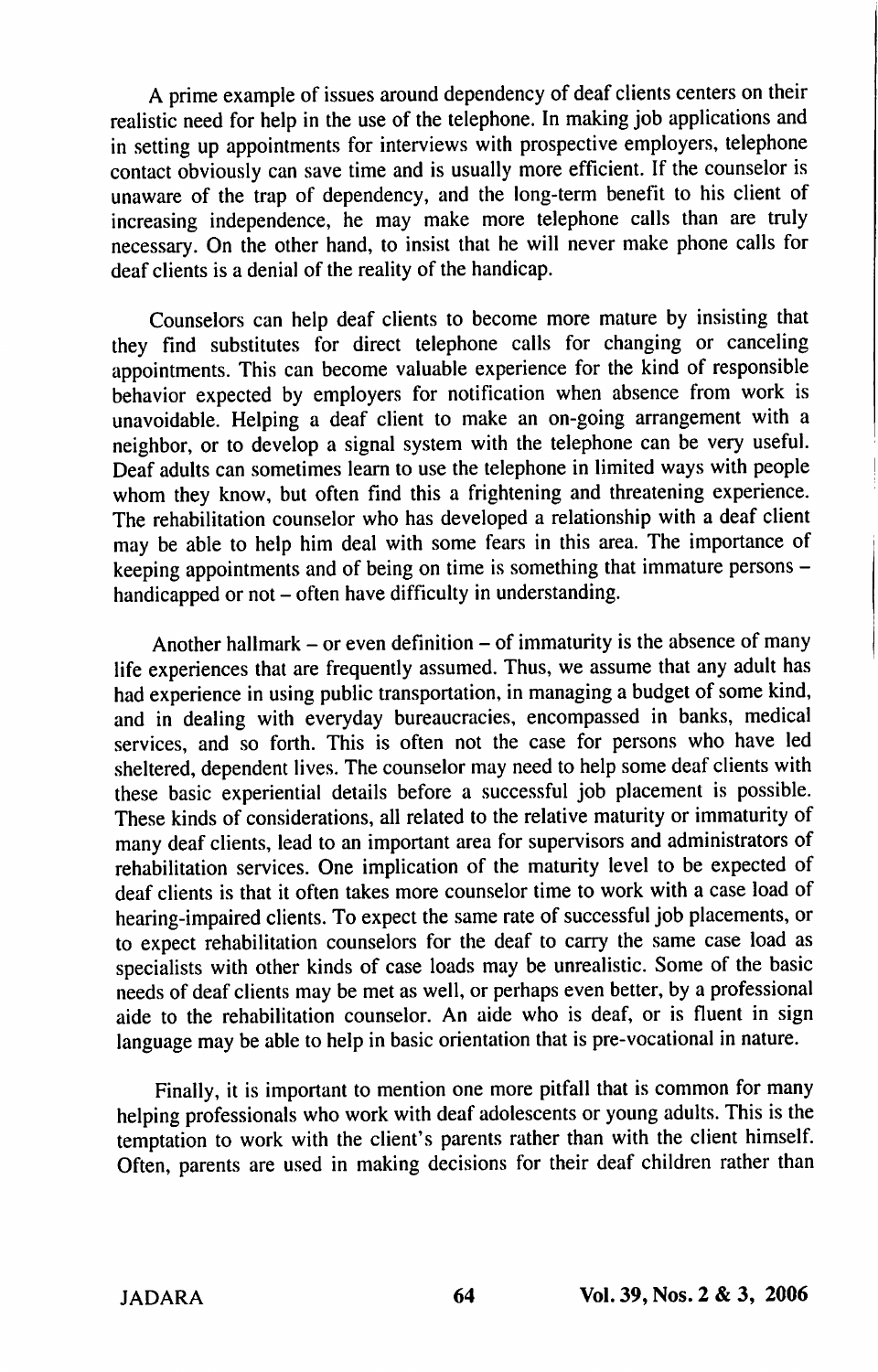A prime example of issues around dependency of deaf clients centers on their realistic need for help in the use of the telephone. In making job applications and in setting up appointments for interviews with prospective employers, telephone contact obviously can save time and is usually more efficient. If the counselor is unaware of the trap of dependency, and the long-term benefit to his client of increasing independence, he may make more telephone calls than are truly necessary. On the other hand, to insist that he will never make phone calls for deaf clients is a denial of the reality of the handicap.

Counselors can help deaf clients to become more mature by insisting that they find substitutes for direct telephone calls for changing or canceling appointments. This can become valuable experience for the kind of responsible behavior expected by employers for notification when absence from work is unavoidable. Helping a deaf client to make an on-going arrangement with a neighbor, or to develop a signal system with the telephone can be very useful. Deaf adults can sometimes learn to use the telephone in limited ways with people whom they know, but often find this a frightening and threatening experience. The rehabilitation counselor who has developed a relationship with a deaf client may be able to help him deal with some fears in this area. The importance of keeping appointments and of being on time is something that immature persons handicapped or not - often have difficulty in understanding.

Another hallmark – or even definition – of immaturity is the absence of many life experiences that are frequently assumed. Thus, we assume that any adult has had experience in using public transportation, in managing a budget of some kind, and in dealing with everyday bureaucracies, encompassed in banks, medical services, and so forth. This is often not the case for persons who have led sheltered, dependent lives. The counselor may need to help some deaf clients with these basic experiential details before a successful job placement is possible. These kinds of considerations, all related to the relative maturity or immaturity of many deaf clients, lead to an important area for supervisors and administrators of rehabilitation services. One implication of the maturity level to be expected of deaf clients is that it often takes more counselor time to work with a case load of hearing-impaired clients. To expect the same rate of successful job placements, or to expect rehabilitation counselors for the deaf to carry the same case load as specialists with other kinds of case loads may be unrealistic. Some of the basic needs of deaf clients may be met as well, or perhaps even better, by a professional aide to the rehabilitation counselor. An aide who is deaf, or is fluent in sign language may be able to help in basic orientation that is pre-vocational in nature.

Finally, it is important to mention one more pitfall that is common for many helping professionals who work with deaf adolescents or young adults. This is the temptation to work with the client's parents rather than with the client himself. Often, parents are used in making decisions for their deaf children rather than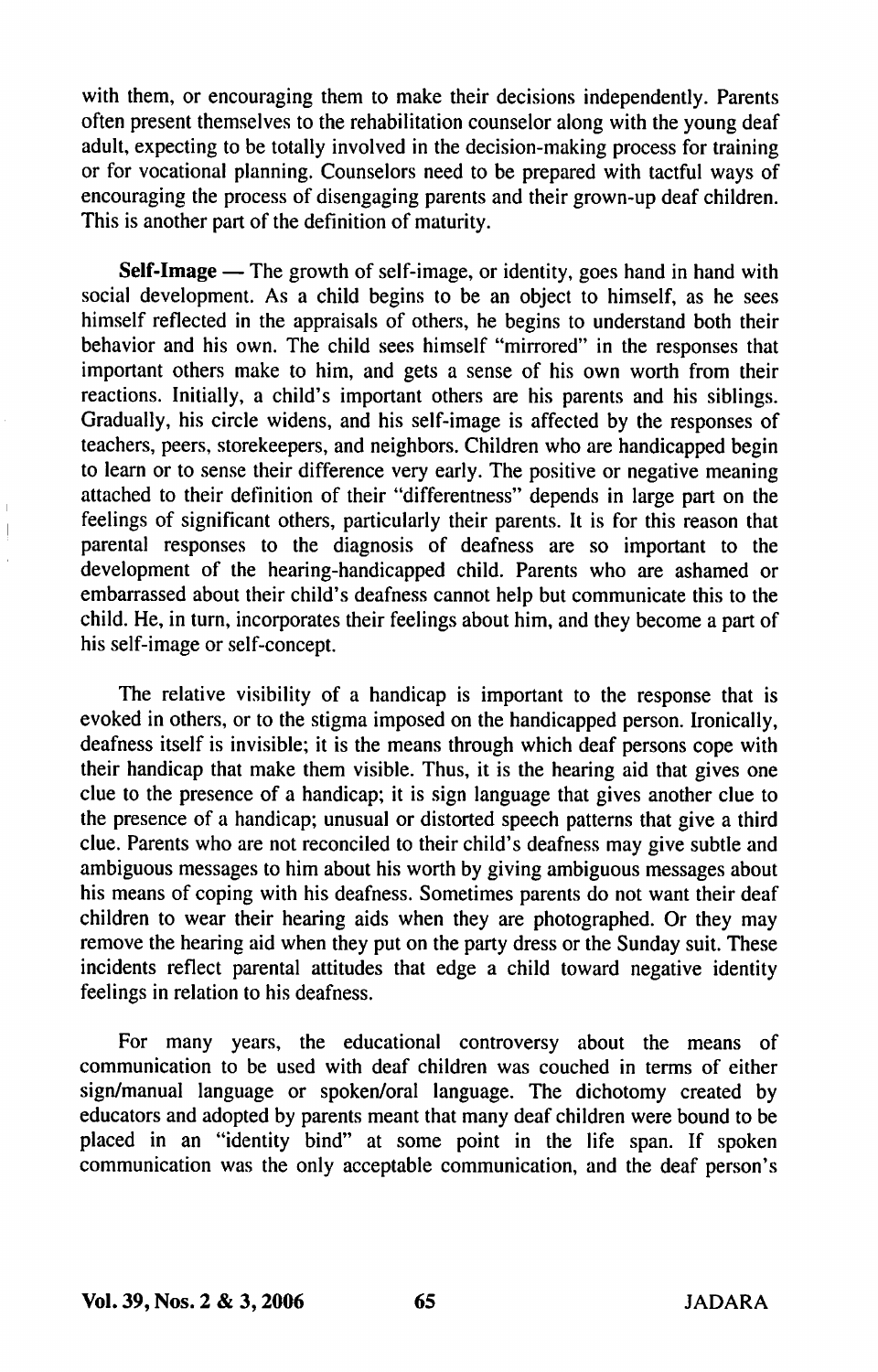with them, or encouraging them to make their decisions independently. Parents often present themselves to the rehabilitation counselor along with the young deaf adult, expecting to be totally involved in the decision-making process for training or for vocational planning. Counselors need to be prepared with tactful ways of encouraging the process of disengaging parents and their grown-up deaf children. This is another part of the definition of maturity.

Self-Image — The growth of self-image, or identity, goes hand in hand with social development. As a child begins to be an object to himself, as he sees himself reflected in the appraisals of others, he begins to understand both their behavior and his own. The child sees himself "mirrored" in the responses that important others make to him, and gets a sense of his own worth from their reactions. Initially, a child's important others are his parents and his siblings. Gradually, his circle widens, and his self-image is affected by the responses of teachers, peers, storekeepers, and neighbors. Children who are handicapped begin to learn or to sense their difference very early. The positive or negative meaning attached to their definition of their "differentness" depends in large part on the feelings of significant others, particularly their parents. It is for this reason that parental responses to the diagnosis of deafness are so important to the development of the hearing-handicapped child. Parents who are ashamed or embarrassed about their child's deafness cannot help but communicate this to the child. He, in turn, incorporates their feelings about him, and they become a part of his self-image or self-concept.

The relative visibility of a handicap is important to the response that is evoked in others, or to the stigma imposed on the handicapped person. Ironically, deafness itself is invisible; it is the means through which deaf persons cope with their handicap that make them visible. Thus, it is the hearing aid that gives one clue to the presence of a handicap; it is sign language that gives another clue to the presence of a handicap; unusual or distorted speech patterns that give a third clue. Parents who are not reconciled to their child's deafness may give subtle and ambiguous messages to him about his worth by giving ambiguous messages about his means of coping with his deafness. Sometimes parents do not want their deaf children to wear their hearing aids when they are photographed. Or they may remove the hearing aid when they put on the party dress or the Sunday suit. These incidents reflect parental attitudes that edge a child toward negative identity feelings in relation to his deafness.

For many years, the educational controversy about the means of communication to be used with deaf children was couched in terms of either sign/manual language or spoken/oral language. The dichotomy created by educators and adopted by parents meant that many deaf children were bound to be placed in an "identity bind" at some point in the life span. If spoken communication was the only acceptable communication, and the deaf person's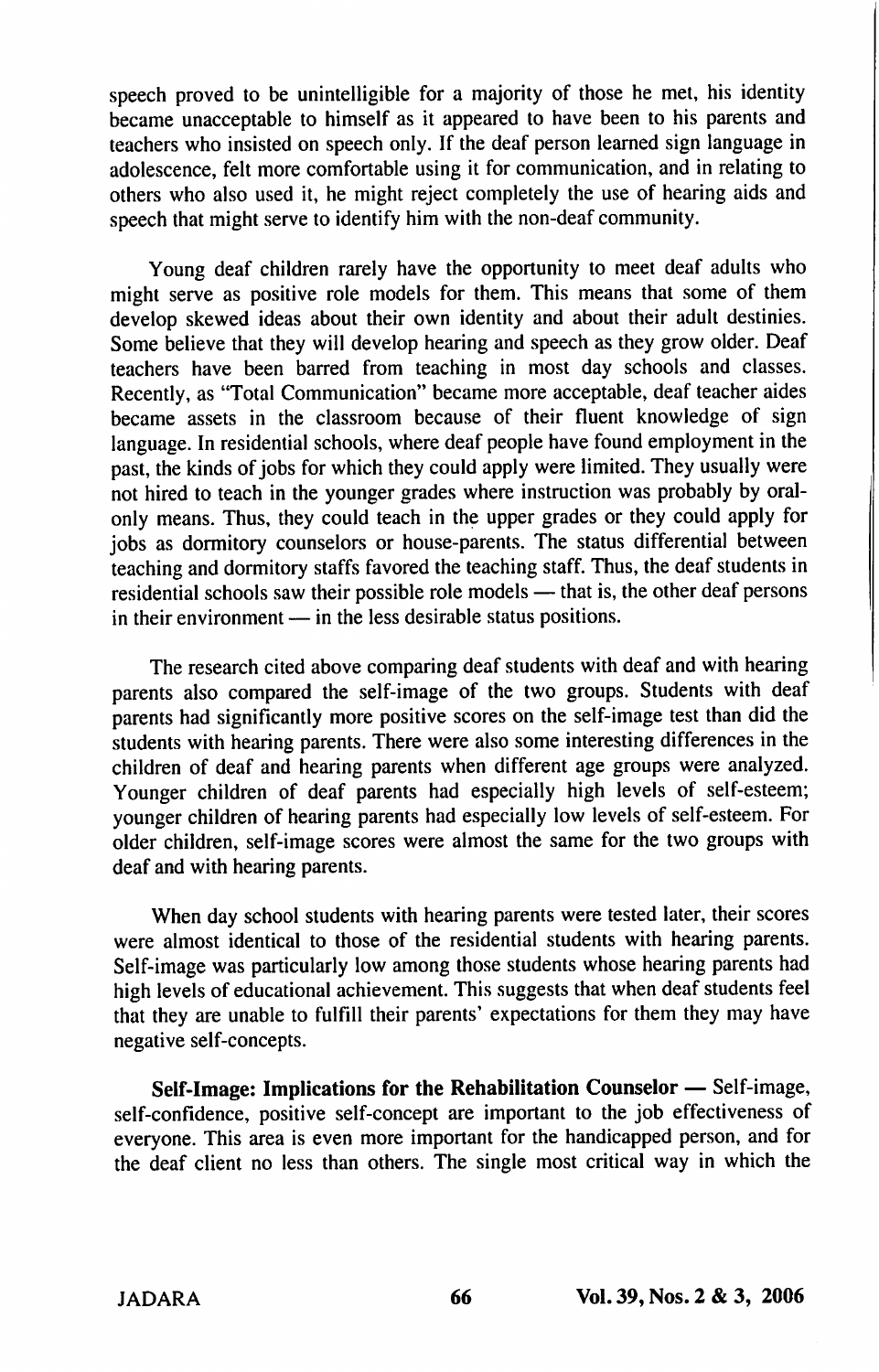speech proved to be unintelligible for a majority of those he met, his identity became unacceptable to himself as it appeared to have been to his parents and teachers who insisted on speech only. If the deaf person learned sign language in adolescence, felt more comfortable using it for communication, and in relating to others who also used it, he might reject completely the use of hearing aids and speech that might serve to identify him with the non-deaf community.

Young deaf children rarely have the opportunity to meet deaf adults who might serve as positive role models for them. This means that some of them develop skewed ideas about their own identity and about their adult destinies. Some believe that they will develop hearing and speech as they grow older. Deaf teachers have been barred from teaching in most day schools and classes. Recently, as "Total Communication" became more acceptable, deaf teacher aides became assets in the classroom because of their fluent knowledge of sign language. In residential schools, where deaf people have found employment in the past, the kinds of jobs for which they could apply were limited. They usually were not hired to teach in the younger grades where instruction was probably by oralonly means. Thus, they could teach in the upper grades or they could apply for jobs as dormitory counselors or house-parents. The status differential between teaching and dormitory staffs favored the teaching staff. Thus, the deaf students in residential schools saw their possible role models — that is, the other deaf persons in their environment — in the less desirable status positions.

The research cited above comparing deaf students with deaf and with hearing parents also compared the self-image of the two groups. Students with deaf parents had significantly more positive scores on the self-image test than did the students with hearing parents. There were also some interesting differences in the children of deaf and hearing parents when different age groups were analyzed. Younger children of deaf parents had especially high levels of self-esteem; younger children of hearing parents had especially low levels of self-esteem. For older children, self-image scores were almost the same for the two groups with deaf and with hearing parents.

When day school students with hearing parents were tested later, their scores were almost identical to those of the residential students with hearing parents. Self-image was particularly low among those students whose hearing parents had high levels of educational achievement. This suggests that when deaf students feel that they are unable to fulfill their parents' expectations for them they may have negative self-concepts.

Self-Image: Implications for the Rehabilitation Counselor — Self-image, self-confidence, positive self-concept are important to the job effectiveness of everyone. This area is even more important for the handicapped person, and for the deaf client no less than others. The single most critical way in which the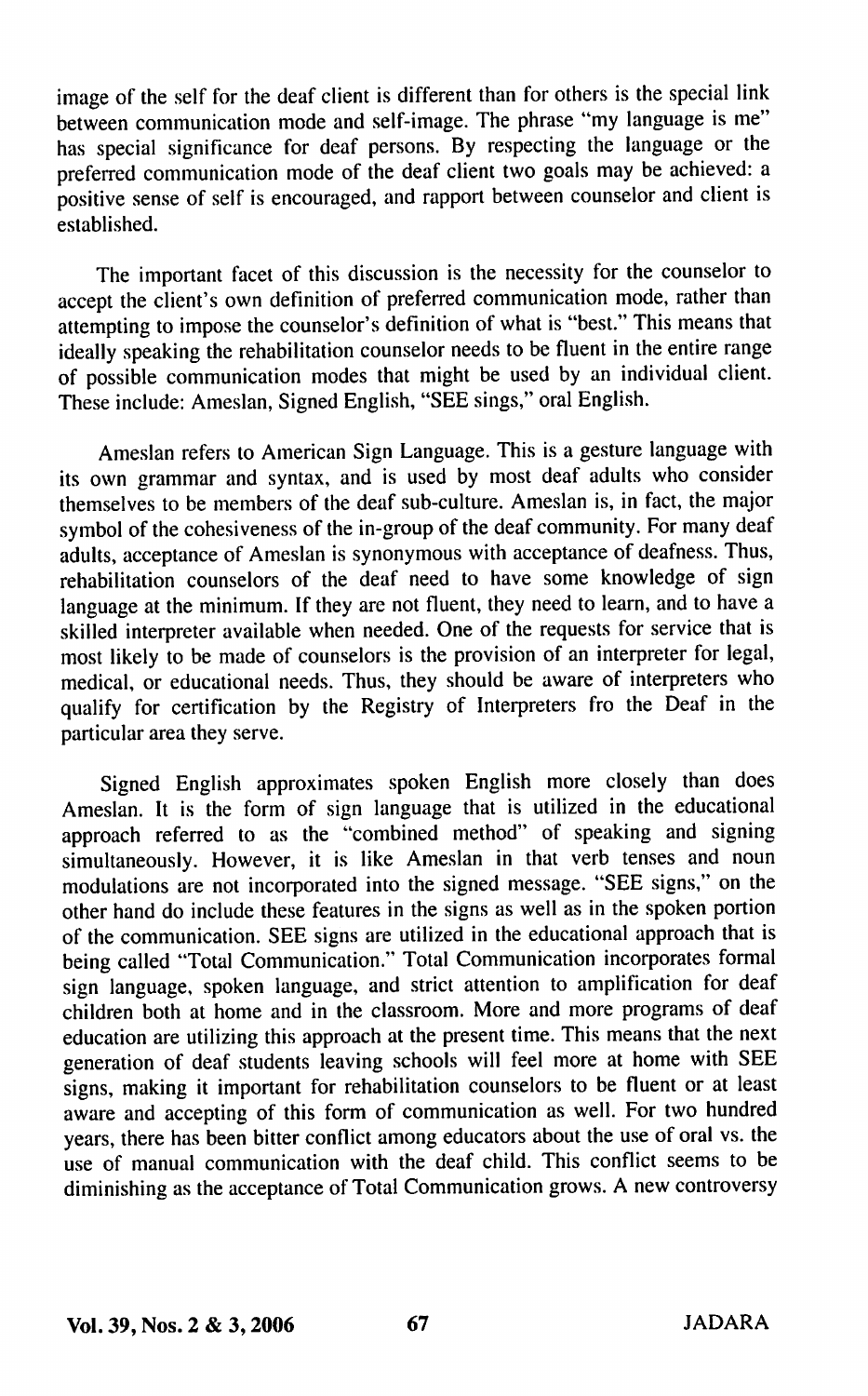image of the self for the deaf client is different than for others is the special link between communication mode and self-image. The phrase "my language is me" has special significance for deaf persons. By respecting the language or the preferred communication mode of the deaf client two goals may be achieved: a positive sense of self is encouraged, and rapport between counselor and client is established.

The important facet of this discussion is the necessity for the counselor to accept the client's own definition of preferred communication mode, rather than attempting to impose the counselor's definition of what is "best." This means that ideally speaking the rehabilitation counselor needs to be fluent in the entire range of possible communication modes that might be used by an individual client. These include: Ameslan, Signed English, "SEE sings," oral Engli.sh.

Ameslan refers to American Sign Language. This is a gesture language with its own grammar and syntax, and is used by most deaf adults who consider themselves to be members of the deaf sub-culture. Ameslan is, in fact, the major symbol of the cohesiveness of the in-group of the deaf community. For many deaf adults, acceptance of Ameslan is synonymous with acceptance of deafness. Thus, rehabilitation counselors of the deaf need to have some knowledge of sign language at the minimum. If they are not fluent, they need to learn, and to have a skilled interpreter available when needed. One of the requests for service that is most likely to be made of counselors is the provision of an interpreter for legal, medical, or educational needs. Thus, they should be aware of interpreters who qualify for certification by the Registry of Interpreters fro the Deaf in the particular area they serve.

Signed English approximates spoken English more closely than does Ameslan. It is the form of sign language that is utilized in the educational approach referred to as the "combined method" of speaking and signing simultaneously. However, it is like Ameslan in that verb tenses and noun modulations are not incorporated into the signed message. "SEE signs," on the other hand do include these features in the signs as well as in the spoken portion of the communication. SEE signs are utilized in the educational approach that is being called "Total Communication." Total Communication incorporates formal sign language, spoken language, and strict attention to amplification for deaf children both at home and in the classroom. More and more programs of deaf education are utilizing this approach at the present time. This means that the next generation of deaf students leaving schools will feel more at home with SEE signs, making it important for rehabilitation counselors to be fluent or at least aware and accepting of this form of communication as well. For two hundred years, there has been bitter conflict among educators about the use of oral vs. the use of manual communication with the deaf child. This conflict seems to be diminishing as the acceptance of Total Communication grows. A new controversy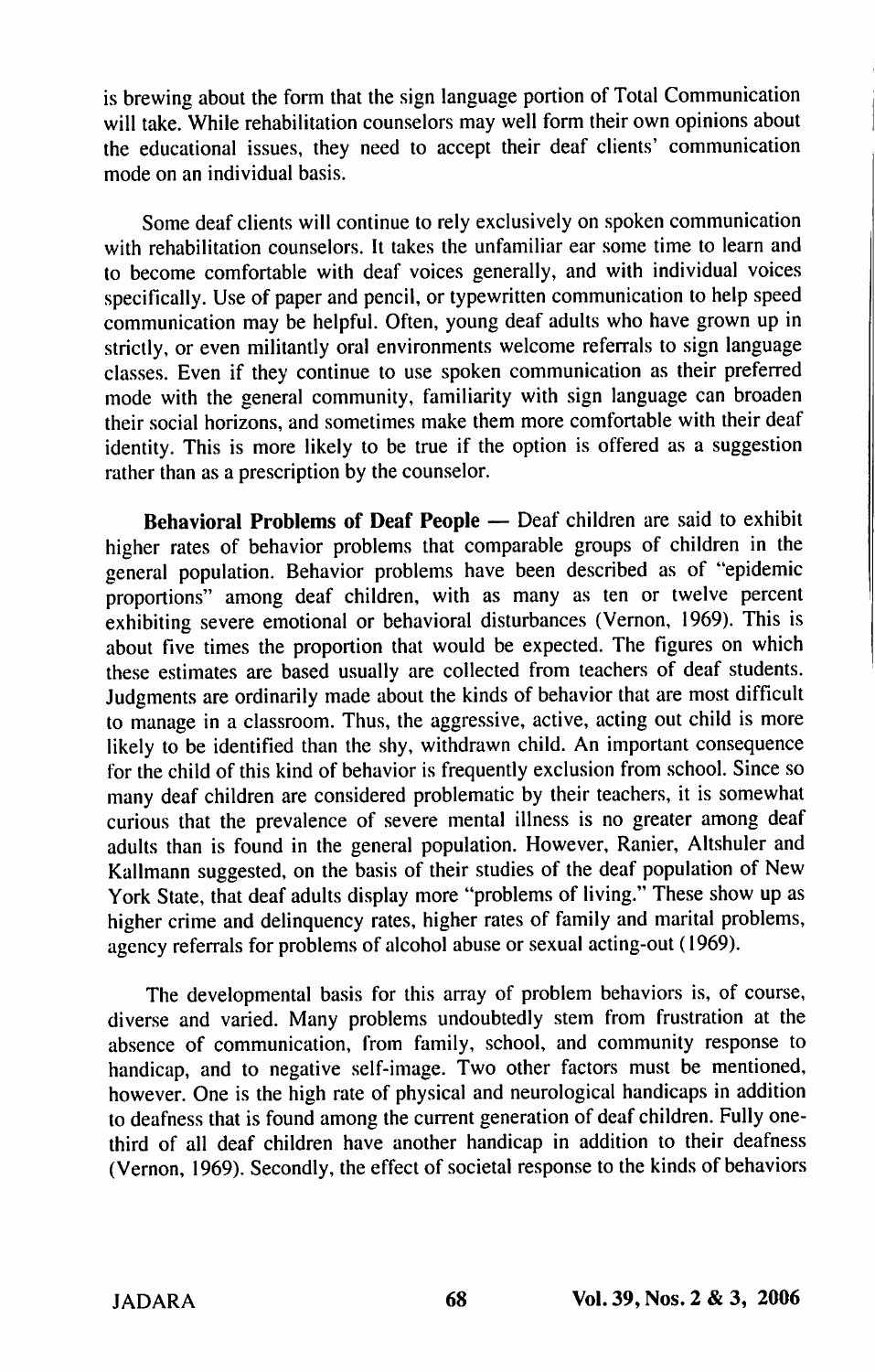is brewing about the form that the sign language portion of Total Communication will take. While rehabilitation counselors may well form their own opinions about the educational issues, they need to accept their deaf clients' communication mode on an individual basis.

Some deaf clients will continue to rely exclusively on spoken communication with rehabilitation counselors. It takes the unfamiliar ear some time to learn and to become comfortable with deaf voices generally, and with individual voices specifically. Use of paper and pencil, or typewritten communication to help speed communication may be helpful. Often, young deaf adults who have grown up in strictly, or even militantly oral environments welcome referrals to sign language classes. Even if they continue to use spoken communication as their preferred mode with the general community, familiarity with sign language can broaden their social horizons, and sometimes make them more comfortable with their deaf identity. This is more likely to be true if the option is offered as a suggestion rather than as a prescription by the counselor.

Behavioral Problems of Deaf People — Deaf children are said to exhibit higher rates of behavior problems that comparable groups of children in the general population. Behavior problems have been described as of "epidemic proportions" among deaf children, with as many as ten or twelve percent exhibiting severe emotional or behavioral disturbances (Vernon, 1969). This is about five times the proportion that would be expected. The figures on which these estimates are based usually are collected from teachers of deaf students. Judgments are ordinarily made about the kinds of behavior that are most difficult to manage in a classroom. Thus, the aggressive, active, acting out child is more likely to be identified than the shy, withdrawn child. An important consequence for the child of this kind of behavior is frequently exclusion from school. Since so many deaf children are considered problematic by their teachers, it is somewhat curious that the prevalence of severe mental illness is no greater among deaf adults than is found in the general population. However, Ranier, Altshuler and Kallmann suggested, on the basis of their studies of the deaf population of New York State, that deaf adults display more "problems of living." These show up as higher crime and delinquency rates, higher rates of family and marital problems, agency referrals for problems of alcohol abuse or sexual acting-out (1969).

The developmental basis for this array of problem behaviors is, of course, diverse and varied. Many problems undoubtedly stem from frustration at the absence of communication, from family, school, and community response to handicap, and to negative self-image. Two other factors must be mentioned, however. One is the high rate of physical and neurological handicaps in addition to deafness that is found among the current generation of deaf children. Fully onethird of all deaf children have another handicap in addition to their deafness (Vernon, 1969). Secondly, the effect of societal response to the kinds of behaviors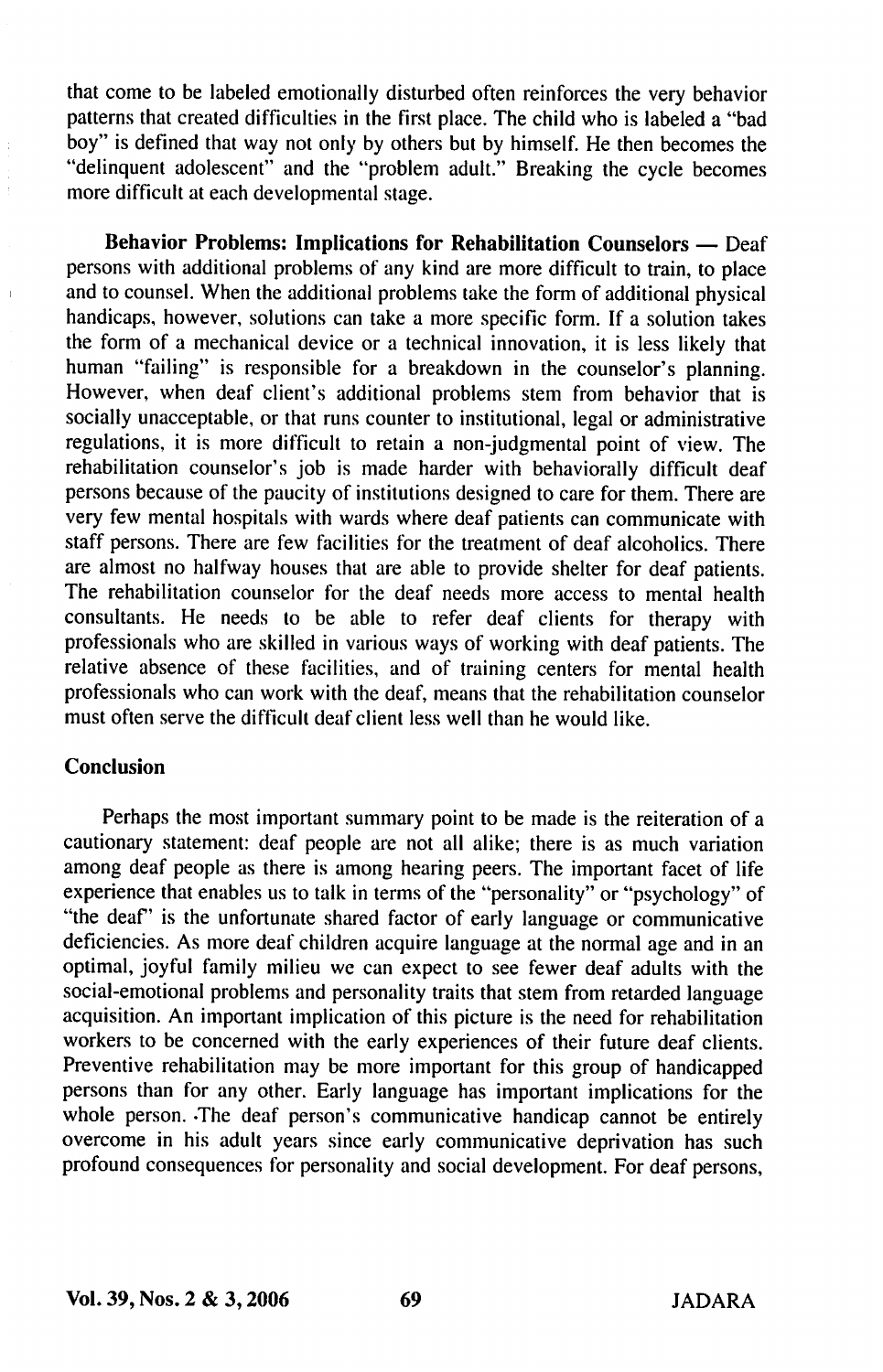that come to be labeled emotionally disturbed often reinforces the very behavior patterns that created difficulties in the first place. The child who is labeled a "bad boy" is defined that way not only by others but by himself. He then becomes the "delinquent adolescent" and the "problem adult." Breaking the cycle becomes more difficult at each developmental stage.

Behavior Problems: Implications for Rehabilitation Counselors — Deaf persons with additional problems of any kind are more difficult to train, to place and to counsel. When the additional problems take the form of additional physical handicaps, however, solutions can take a more specific form. If a solution takes the form of a mechanical device or a technical innovation, it is less likely that human "failing" is responsible for a breakdown in the counselor's planning. However, when deaf client's additional problems stem from behavior that is socially unacceptable, or that runs counter to institutional, legal or administrative regulations, it is more difficult to retain a non-judgmental point of view. The rehabilitation counselor's job is made harder with behaviorally difficult deaf persons because of the paucity of institutions designed to care for them. There are very few mental hospitals with wards where deaf patients can communicate with staff persons. There are few facilities for the treatment of deaf alcoholics. There are almost no halfway houses that are able to provide shelter for deaf patients. The rehabilitation counselor for the deaf needs more access to mental health consultants. He needs to be able to refer deaf clients for therapy with professionals who are skilled in various ways of working with deaf patients. The relative absence of these facilities, and of training centers for mental health professionals who can work with the deaf, means that the rehabilitation counselor must often serve the difficult deaf client less well than he would like.

#### Conclusion

Perhaps the most important summary point to be made is the reiteration of a cautionary statement: deaf people are not all alike; there is as much variation among deaf people as there is among hearing peers. The important facet of life experience that enables us to talk in terms of the "personality" or "psychology" of "the deaf" is the unfortunate shared factor of early language or communicative deficiencies. As more deaf children acquire language at the normal age and in an optimal, joyful family milieu we can expect to see fewer deaf adults with the social-emotional problems and personality traits that stem from retarded language acquisition. An important implication of this picture is the need for rehabilitation workers to be concerned with the early experiences of their future deaf clients. Preventive rehabilitation may be more important for this group of handicapped persons than for any other. Early language has important implications for the whole person. The deaf person's communicative handicap cannot be entirely overcome in his adult years since early communicative deprivation has such profound consequences for personality and social development. For deaf persons.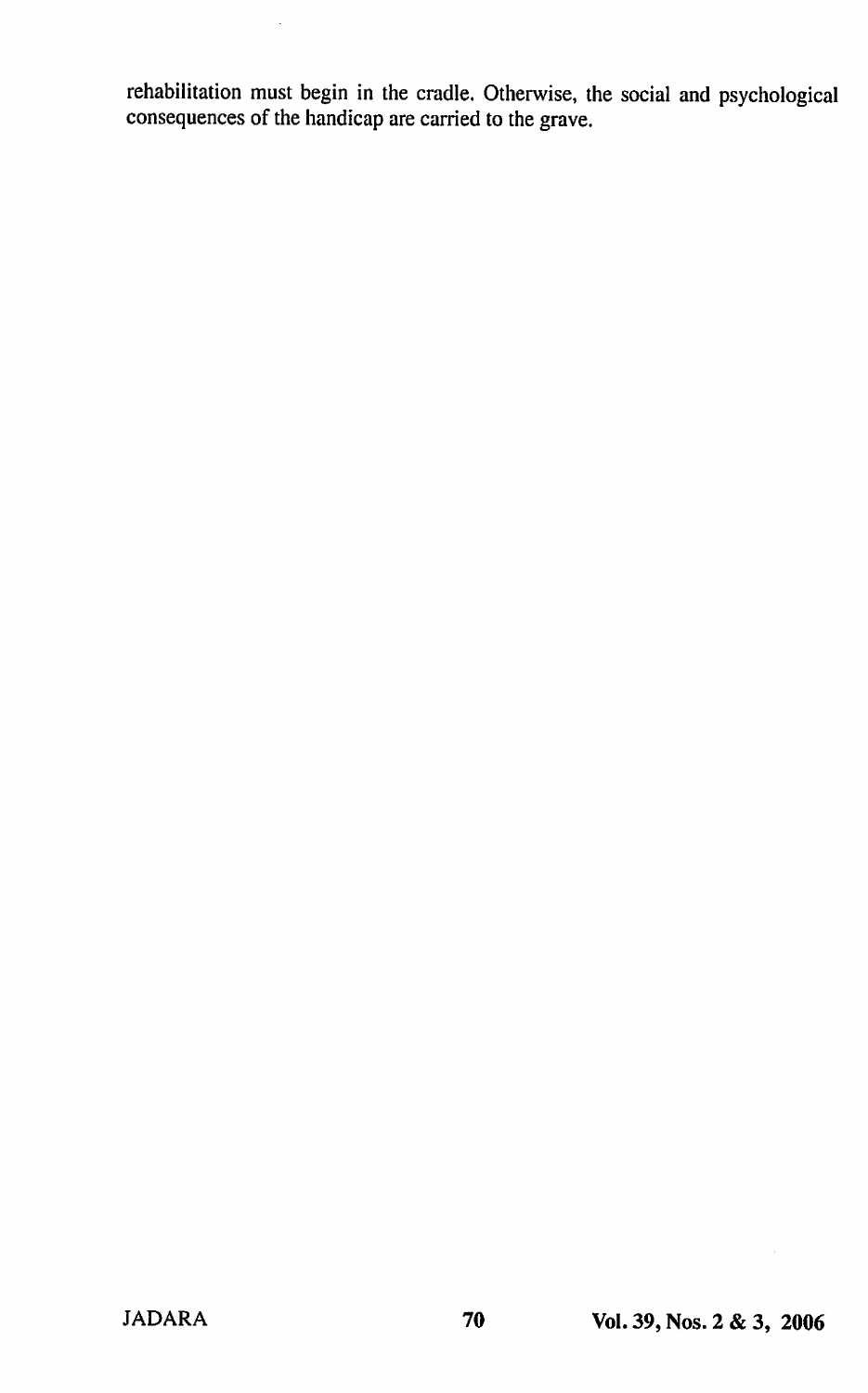rehabilitation must begin in the cradle. Otherwise, the social and psychological consequences of the handicap are carried to the grave.

 $\ddot{\phantom{a}}$